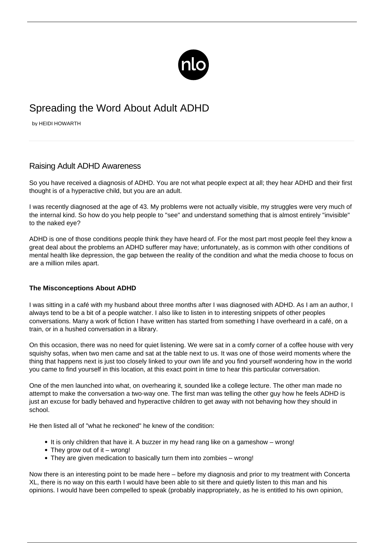

## Spreading the Word About Adult ADHD

by HEIDI HOWARTH

## Raising Adult ADHD Awareness

So you have received a diagnosis of ADHD. You are not what people expect at all; they hear ADHD and their first thought is of a hyperactive child, but you are an adult.

I was recently diagnosed at the age of 43. My problems were not actually visible, my struggles were very much of the internal kind. So how do you help people to "see" and understand something that is almost entirely "invisible" to the naked eye?

ADHD is one of those conditions people think they have heard of. For the most part most people feel they know a great deal about the problems an ADHD sufferer may have; unfortunately, as is common with other conditions of mental health like depression, the gap between the reality of the condition and what the media choose to focus on are a million miles apart.

## **The Misconceptions About ADHD**

I was sitting in a café with my husband about three months after I was diagnosed with ADHD. As I am an author, I always tend to be a bit of a people watcher. I also like to listen in to interesting snippets of other peoples conversations. Many a work of fiction I have written has started from something I have overheard in a café, on a train, or in a hushed conversation in a library.

On this occasion, there was no need for quiet listening. We were sat in a comfy corner of a coffee house with very squishy sofas, when two men came and sat at the table next to us. It was one of those weird moments where the thing that happens next is just too closely linked to your own life and you find yourself wondering how in the world you came to find yourself in this location, at this exact point in time to hear this particular conversation.

One of the men launched into what, on overhearing it, sounded like a college lecture. The other man made no attempt to make the conversation a two-way one. The first man was telling the other guy how he feels [ADHD is](/adhd-disbelief/) [just an excuse](/adhd-disbelief/) for badly behaved and hyperactive children to get away with not behaving how they should in school.

He then listed all of "what he reckoned" he knew of the condition:

- It is only children that have it. A buzzer in my head rang like on a gameshow wrong!
- They grow out of it wrong!
- They are given medication to basically turn them into zombies wrong!

Now there is an interesting point to be made here – before my diagnosis and prior to my treatment with Concerta XL, there is no way on this earth I would have been able to sit there and quietly listen to this man and his opinions. I would have been compelled to speak (probably inappropriately, as he is entitled to his own opinion,